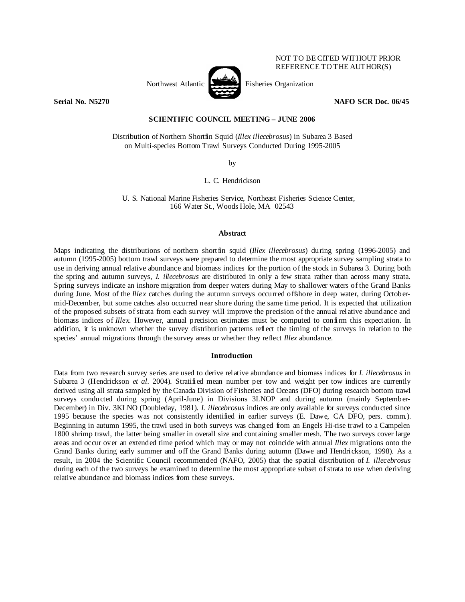

NOT TO BE CITED WITHOUT PRIOR REFERENCE TO THE AUTHOR(S)

**Serial No. N5270 NAFO SCR Doc. 06/45** 

# **SCIENTIFIC COUNCIL MEETING – JUNE 2006**

Distribution of Northern Shortfin Squid (*Illex illecebrosus*) in Subarea 3 Based on Multi-species Bottom Trawl Surveys Conducted During 1995-2005

by

L. C. Hendrickson

U. S. National Marine Fisheries Service, Northeast Fisheries Science Center, 166 Water St., Woods Hole, MA 02543

### **Abstract**

Maps indicating the distributions of northern shortfin squid (*Illex illecebrosus*) during spring (1996-2005) and autumn (1995-2005) bottom trawl surveys were prepared to determine the most appropriate survey sampling strata to use in deriving annual relative abundance and biomass indices for the portion of the stock in Subarea 3. During both the spring and autumn surveys, *I. illecebrosus* are distributed in only a few strata rather than across many strata. Spring surveys indicate an inshore migration from deeper waters during May to shallower waters of the Grand Banks during June. Most of the *Illex* catches during the autumn surveys occurred offshore in deep water, during Octobermid-December, but some catches also occurred near shore during the same time period. It is expected that utilization of the proposed subsets of strata from each survey will improve the precision of the annual relative abundance and biomass indices of *Illex*. However, annual precision estimates must be computed to confirm this expectation. In addition, it is unknown whether the survey distribution patterns reflect the timing of the surveys in relation to the species' annual migrations through the survey areas or whether they reflect *Illex* abundance.

## **Introduction**

Data from two research survey series are used to derive relative abundance and biomass indices for *I. illecebrosus* in Subarea 3 (Hendrickson *et al*. 2004). Stratified mean number per tow and weight per tow indices are currently derived using all strata sampled by the Canada Division of Fisheries and Oceans (DFO) during research bottom trawl surveys conducted during spring (April-June) in Divisions 3LNOP and during autumn (mainly September-December) in Div. 3KLNO (Doubleday, 1981). *I. illecebrosus* indices are only available for surveys conducted since 1995 because the species was not consistently identified in earlier surveys (E. Dawe, CA DFO, pers. comm.). Beginning in autumn 1995, the trawl used in both surveys was changed from an Engels Hi-rise trawl to a Campelen 1800 shrimp trawl, the latter being smaller in overall size and containing smaller mesh. The two surveys cover large areas and occur over an extended time period which may or may not coincide with annual *Illex* migrations onto the Grand Banks during early summer and off the Grand Banks during autumn (Dawe and Hendrickson, 1998). As a result, in 2004 the Scientific Council recommended (NAFO, 2005) that the spatial distribution of *I. illecebrosus* during each of the two surveys be examined to determine the most appropriate subset of strata to use when deriving relative abundance and biomass indices from these surveys.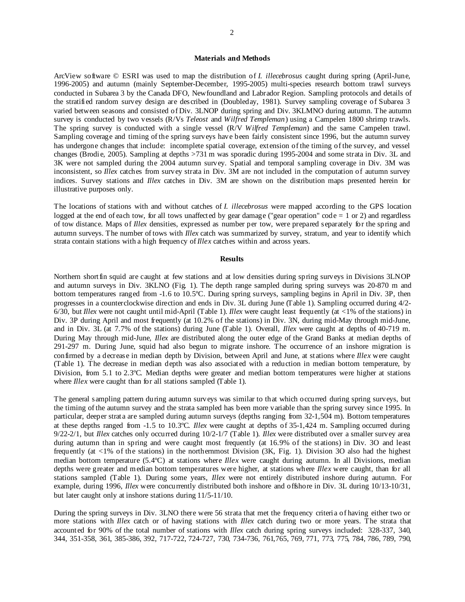### **Materials and Methods**

ArcView software © ESRI was used to map the distribution of *I. illecebrosus* caught during spring (April-June, 1996-2005) and autumn (mainly September-December, 1995-2005) multi-species research bottom trawl surveys conducted in Subarea 3 by the Canada DFO, Newfoundland and Labrador Region. Sampling protocols and details of the stratified random survey design are described in (Doubleday, 1981). Survey sampling coverage of Subarea 3 varied between seasons and consisted of Div. 3LNOP during spring and Div. 3KLMNO during autumn. The autumn survey is conducted by two vessels (R/Vs *Teleost* and *Wilfred Templeman*) using a Campelen 1800 shrimp trawls. The spring survey is conducted with a single vessel (R/V *Wilfred Templeman*) and the same Campelen trawl. Sampling coverage and timing of the spring surveys have been fairly consistent since 1996, but the autumn survey has undergone changes that include: incomplete spatial coverage, extension of the timing of the survey, and vessel changes (Brodie, 2005). Sampling at depths >731 m was sporadic during 1995-2004 and some strata in Div. 3L and 3K were not sampled during the 2004 autumn survey. Spatial and temporal sampling coverage in Div. 3M was inconsistent, so *Illex* catches from survey strata in Div. 3M are not included in the computation of autumn survey indices. Survey stations and *Illex* catches in Div. 3M are shown on the distribution maps presented herein for illustrative purposes only.

The locations of stations with and without catches of *I. illecebrosus* were mapped according to the GPS location logged at the end of each tow, for all tows unaffected by gear damage ("gear operation" code  $= 1$  or 2) and regardless of tow distance. Maps of *Illex* densities, expressed as number per tow, were prepared separately for the spring and autumn surveys. The number of tows with *Illex* catch was summarized by survey, stratum, and year to identify which strata contain stations with a high frequency of *Illex* catches within and across years.

### **Results**

Northern shortfin squid are caught at few stations and at low densities during spring surveys in Divisions 3LNOP and autumn surveys in Div. 3KLNO (Fig. 1). The depth range sampled during spring surveys was 20-870 m and bottom temperatures ranged from -1.6 to 10.5ºC. During spring surveys, sampling begins in April in Div. 3P, then progresses in a counterclockwise direction and ends in Div. 3L during June (Table 1). Sampling occurred during 4/2- 6/30, but *Illex* were not caught until mid-April (Table 1). *Illex* were caught least frequently (at <1% of the stations) in Div. 3P during April and most frequently (at 10.2% of the stations) in Div. 3N, during mid-May through mid-June, and in Div. 3L (at 7.7% of the stations) during June (Table 1). Overall, *Illex* were caught at depths of 40-719 m. During May through mid-June, *Illex* are distributed along the outer edge of the Grand Banks at median depths of 291-297 m. During June, squid had also begun to migrate inshore. The occurrence of an inshore migration is confirmed by a decrease in median depth by Division, between April and June, at stations where *Illex* were caught (Table 1). The decrease in median depth was also associated with a reduction in median bottom temperature, by Division, from 5.1 to 2.3ºC. Median depths were greater and median bottom temperatures were higher at stations where *Illex* were caught than for all stations sampled (Table 1).

The general sampling pattern during autumn surveys was similar to that which occurred during spring surveys, but the timing of the autumn survey and the strata sampled has been more variable than the spring survey since 1995. In particular, deeper strata are sampled during autumn surveys (depths ranging from 32-1,504 m). Bottom temperatures at these depths ranged from -1.5 to 10.3ºC. *Illex* were caught at depths of 35-1,424 m. Sampling occurred during 9/22-2/1, but *Illex* catches only occurred during 10/2-1/7 (Table 1). *Illex* were distributed over a smaller survey area during autumn than in spring and were caught most frequently (at 16.9% of the stations) in Div. 3O and least frequently (at <1% of the stations) in the northernmost Division (3K, Fig. 1). Division 3O also had the highest median bottom temperature (5.4ºC) at stations where *Illex* were caught during autumn. In all Divisions, median depths were greater and median bottom temperatures were higher, at stations where *Illex* were caught, than for all stations sampled (Table 1). During some years, *Illex* were not entirely distributed inshore during autumn. For example, during 1996, *Illex* were concurrently distributed both inshore and offshore in Div. 3L during 10/13-10/31, but later caught only at inshore stations during 11/5-11/10.

During the spring surveys in Div. 3LNO there were 56 strata that met the frequency criteria of having either two or more stations with *Illex* catch or of having stations with *Illex* catch during two or more years. The strata that accounted for 90% of the total number of stations with *Illex* catch during spring surveys included: 328-337, 340, 344, 351-358, 361, 385-386, 392, 717-722, 724-727, 730, 734-736, 761,765, 769, 771, 773, 775, 784, 786, 789, 790,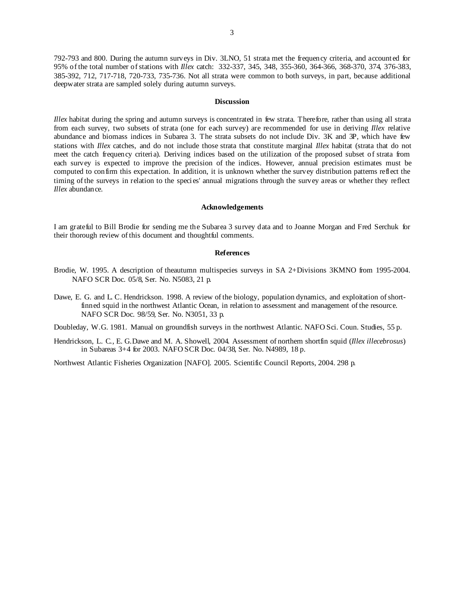792-793 and 800. During the autumn surveys in Div. 3LNO, 51 strata met the frequency criteria, and accounted for 95% of the total number of stations with *Illex* catch: 332-337, 345, 348, 355-360, 364-366, 368-370, 374, 376-383, 385-392, 712, 717-718, 720-733, 735-736. Not all strata were common to both surveys, in part, because additional deepwater strata are sampled solely during autumn surveys.

#### **Discussion**

*Illex* habitat during the spring and autumn surveys is concentrated in few strata. Therefore, rather than using all strata from each survey, two subsets of strata (one for each survey) are recommended for use in deriving *Illex* relative abundance and biomass indices in Subarea 3. The strata subsets do not include Div. 3K and 3P, which have few stations with *Illex* catches, and do not include those strata that constitute marginal *Illex* habitat (strata that do not meet the catch frequency criteria). Deriving indices based on the utilization of the proposed subset of strata from each survey is expected to improve the precision of the indices. However, annual precision estimates must be computed to confirm this expectation. In addition, it is unknown whether the survey distribution patterns reflect the timing of the surveys in relation to the species' annual migrations through the survey areas or whether they reflect *Illex* abundance.

#### **Acknowledgements**

I am grateful to Bill Brodie for sending me the Subarea 3 survey data and to Joanne Morgan and Fred Serchuk for their thorough review of this document and thoughtful comments.

#### **References**

- Brodie, W. 1995. A description of theautumn multispecies surveys in SA 2+Divisions 3KMNO from 1995-2004. NAFO SCR Doc. 05/8, Ser. No. N5083, 21 p.
- Dawe, E. G. and L. C. Hendrickson. 1998. A review of the biology, population dynamics, and exploitation of shortfinned squid in the northwest Atlantic Ocean, in relation to assessment and management of the resource. NAFO SCR Doc. 98/59, Ser. No. N3051, 33 p.

Doubleday, W.G. 1981. Manual on groundfish surveys in the northwest Atlantic. NAFO Sci. Coun. Studies, 55 p.

Hendrickson, L. C., E. G.Dawe and M. A. Showell, 2004. Assessment of northern shortfin squid (*Illex illecebrosus*) in Subareas 3+4 for 2003. NAFO SCR Doc. 04/38, Ser. No. N4989, 18 p.

Northwest Atlantic Fisheries Organization [NAFO]. 2005. Scientific Council Reports, 2004. 298 p.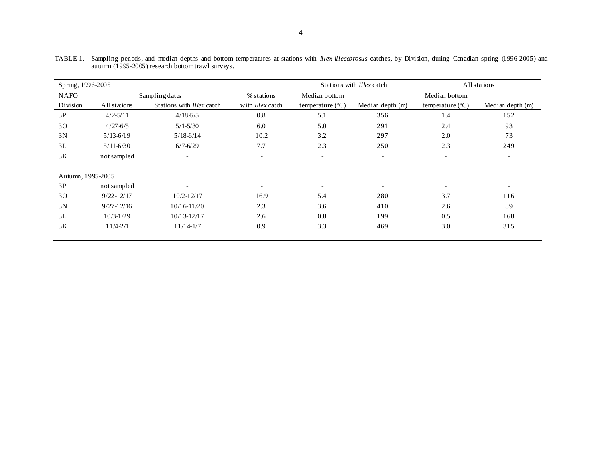| Spring, 1996-2005 |                |                                  |                          | Stations with <i>Illex</i> catch |                          | All stations              |                          |
|-------------------|----------------|----------------------------------|--------------------------|----------------------------------|--------------------------|---------------------------|--------------------------|
| <b>NAFO</b>       | Sampling dates |                                  | % stations               | Median bottom                    |                          | Median bottom             |                          |
| Division          | All stations   | Stations with <i>Illex</i> catch | with <i>Illex</i> catch  | temperature $(^{\circ}C)$        | Median depth (m)         | temperature $(^{\circ}C)$ | Median depth (m)         |
| 3P                | $4/2 - 5/11$   | $4/18 - 5/5$                     | 0.8                      | 5.1                              | 356                      | 1.4                       | 152                      |
| 30                | $4/27 - 6/5$   | $5/1 - 5/30$                     | 6.0                      | 5.0                              | 291                      | 2.4                       | 93                       |
| 3N                | $5/13 - 6/19$  | $5/18 - 6/14$                    | 10.2                     | 3.2                              | 297                      | 2.0                       | 73                       |
| 3L                | $5/11 - 6/30$  | $6/7 - 6/29$                     | 7.7                      | 2.3                              | 250                      | 2.3                       | 249                      |
| 3K                | not sampled    | $\overline{\phantom{a}}$         | $\overline{\phantom{a}}$ | $\overline{\phantom{a}}$         | $\overline{\phantom{a}}$ | $\overline{\phantom{a}}$  | $\overline{\phantom{0}}$ |
| Autumn, 1995-2005 |                |                                  |                          |                                  |                          |                           |                          |
| 3P                | not sampled    | $\overline{\phantom{a}}$         | $\overline{\phantom{0}}$ | $\overline{\phantom{0}}$         | $\overline{\phantom{a}}$ |                           | $\overline{\phantom{a}}$ |
| 30                | $9/22 - 12/17$ | $10/2 - 12/17$                   | 16.9                     | 5.4                              | 280                      | 3.7                       | 116                      |
| 3N                | $9/27 - 12/16$ | 10/16-11/20                      | 2.3                      | 3.6                              | 410                      | 2.6                       | 89                       |
| 3L                | $10/3 - 1/29$  | $10/13 - 12/17$                  | 2.6                      | 0.8                              | 199                      | 0.5                       | 168                      |
| 3K                | $11/4 - 2/1$   | $11/14-1/7$                      | 0.9                      | 3.3                              | 469                      | 3.0                       | 315                      |

TABLE 1. Sampling periods, and median depths and bottom temperatures at stations with *Illex illecebrosus* catches, by Division, during Canadian spring (1996-2005) and autumn (1995-2005) research bottom trawl surveys.